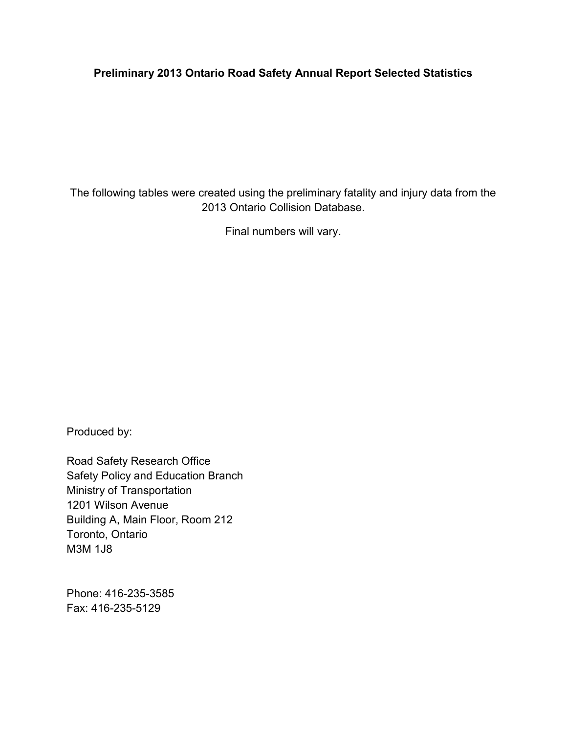# **Preliminary 2013 Ontario Road Safety Annual Report Selected Statistics**

The following tables were created using the preliminary fatality and injury data from the 2013 Ontario Collision Database.

Final numbers will vary.

Produced by:

Road Safety Research Office Safety Policy and Education Branch Ministry of Transportation 1201 Wilson Avenue Building A, Main Floor, Room 212 Toronto, Ontario M3M 1J8

Phone: 416-235-3585 Fax: 416-235-5129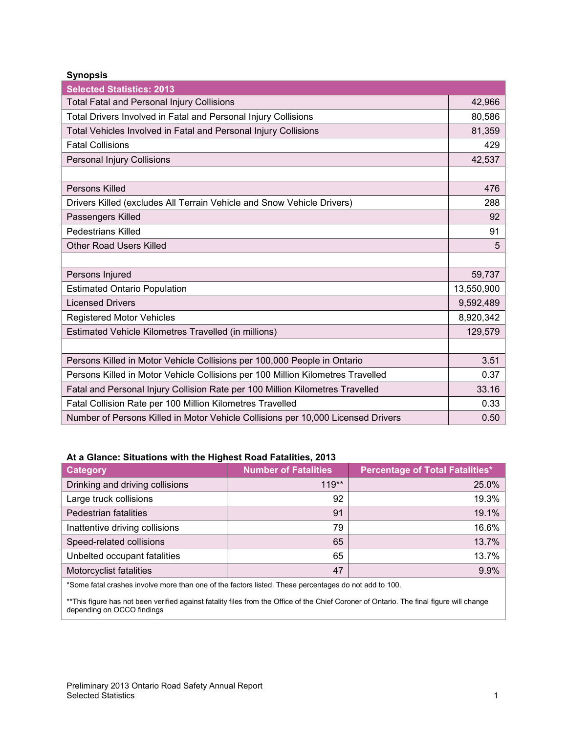**Synopsis** 

| <b>Selected Statistics: 2013</b>                                                 |            |
|----------------------------------------------------------------------------------|------------|
| <b>Total Fatal and Personal Injury Collisions</b>                                | 42,966     |
| Total Drivers Involved in Fatal and Personal Injury Collisions                   | 80,586     |
| Total Vehicles Involved in Fatal and Personal Injury Collisions                  | 81,359     |
| <b>Fatal Collisions</b>                                                          | 429        |
| Personal Injury Collisions                                                       | 42,537     |
|                                                                                  |            |
| Persons Killed                                                                   | 476        |
| Drivers Killed (excludes All Terrain Vehicle and Snow Vehicle Drivers)           | 288        |
| Passengers Killed                                                                | 92         |
| <b>Pedestrians Killed</b>                                                        | 91         |
| <b>Other Road Users Killed</b>                                                   | 5          |
|                                                                                  |            |
| Persons Injured                                                                  | 59,737     |
| <b>Estimated Ontario Population</b>                                              | 13,550,900 |
| <b>Licensed Drivers</b>                                                          | 9,592,489  |
| <b>Registered Motor Vehicles</b>                                                 | 8,920,342  |
| Estimated Vehicle Kilometres Travelled (in millions)                             | 129,579    |
|                                                                                  |            |
| Persons Killed in Motor Vehicle Collisions per 100,000 People in Ontario         | 3.51       |
| Persons Killed in Motor Vehicle Collisions per 100 Million Kilometres Travelled  | 0.37       |
| Fatal and Personal Injury Collision Rate per 100 Million Kilometres Travelled    | 33.16      |
| Fatal Collision Rate per 100 Million Kilometres Travelled                        | 0.33       |
| Number of Persons Killed in Motor Vehicle Collisions per 10,000 Licensed Drivers | 0.50       |

### **At a Glance: Situations with the Highest Road Fatalities, 2013**

| Category                        | <b>Number of Fatalities</b> | <b>Percentage of Total Fatalities*</b> |
|---------------------------------|-----------------------------|----------------------------------------|
| Drinking and driving collisions | $119**$                     | 25.0%                                  |
| Large truck collisions          | 92                          | 19.3%                                  |
| Pedestrian fatalities           | 91                          | 19.1%                                  |
| Inattentive driving collisions  | 79                          | 16.6%                                  |
| Speed-related collisions        | 65                          | 13.7%                                  |
| Unbelted occupant fatalities    | 65                          | 13.7%                                  |
| Motorcyclist fatalities         | 47                          | 9.9%                                   |

\*Some fatal crashes involve more than one of the factors listed. These percentages do not add to 100.

\*\*This figure has not been verified against fatality files from the Office of the Chief Coroner of Ontario. The final figure will change depending on OCCO findings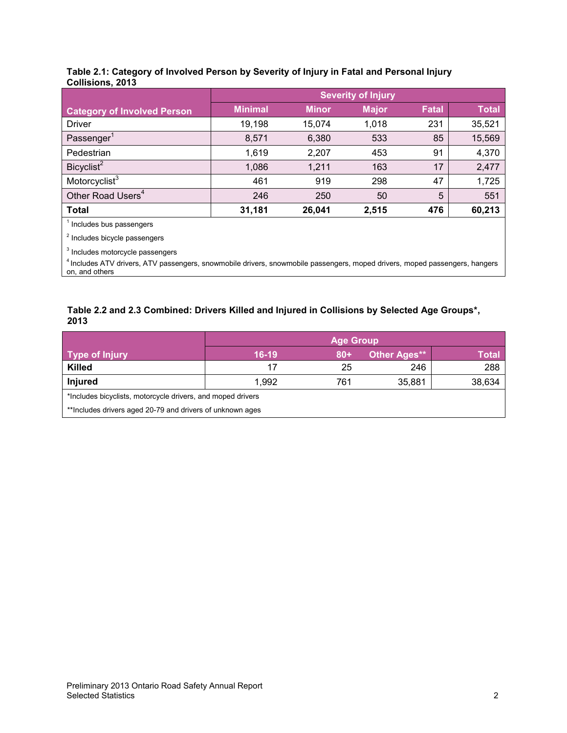#### **Table 2.1: Category of Involved Person by Severity of Injury in Fatal and Personal Injury Collisions, 2013**

|                                    | <b>Severity of Injury</b> |              |              |              |              |
|------------------------------------|---------------------------|--------------|--------------|--------------|--------------|
| <b>Category of Involved Person</b> | <b>Minimal</b>            | <b>Minor</b> | <b>Major</b> | <b>Fatal</b> | <b>Total</b> |
| <b>Driver</b>                      | 19,198                    | 15,074       | 1,018        | 231          | 35,521       |
| Passenger <sup>1</sup>             | 8,571                     | 6,380        | 533          | 85           | 15,569       |
| Pedestrian                         | 1,619                     | 2,207        | 453          | 91           | 4,370        |
| Bicyclist <sup>2</sup>             | 1,086                     | 1,211        | 163          | 17           | 2,477        |
| Motorcyclist <sup>3</sup>          | 461                       | 919          | 298          | 47           | 1,725        |
| Other Road Users <sup>4</sup>      | 246                       | 250          | 50           | 5            | 551          |
| <b>Total</b>                       | 31,181                    | 26,041       | 2,515        | 476          | 60,213       |

<sup>1</sup> Includes bus passengers

<sup>2</sup> Includes bicycle passengers

<sup>3</sup> Includes motorcycle passengers

4 Includes ATV drivers, ATV passengers, snowmobile drivers, snowmobile passengers, moped drivers, moped passengers, hangers on, and others

### **Table 2.2 and 2.3 Combined: Drivers Killed and Injured in Collisions by Selected Age Groups\*, 2013**

|                                                             | <b>Age Group</b> |        |                     |        |  |
|-------------------------------------------------------------|------------------|--------|---------------------|--------|--|
| Type of Injury                                              | $16-19$          | $80 +$ | <b>Other Ages**</b> | Total  |  |
| <b>Killed</b>                                               | 17               | 25     | 246                 | 288    |  |
| Injured                                                     | 1.992            | 761    | 35,881              | 38,634 |  |
| *Includes bicyclists, motorcycle drivers, and moped drivers |                  |        |                     |        |  |
| **Includes drivers aged 20-79 and drivers of unknown ages   |                  |        |                     |        |  |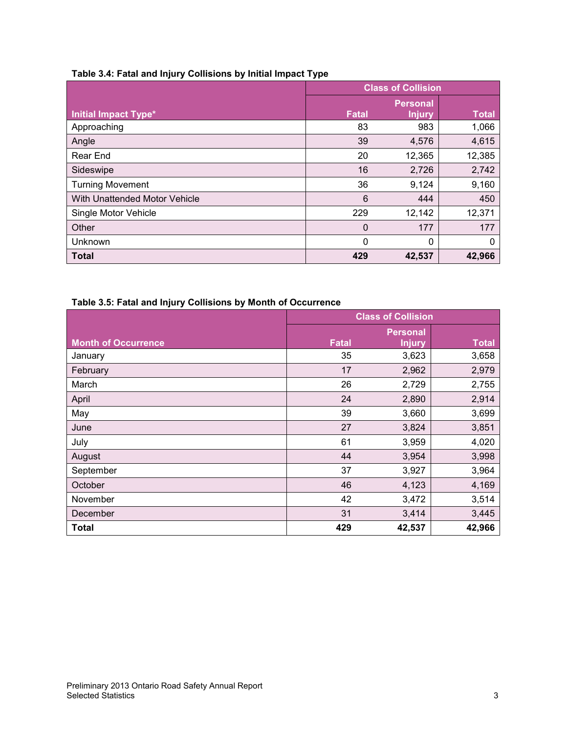| Table 3.4: Fatal and Injury Collisions by Initial Impact Type |  |
|---------------------------------------------------------------|--|
|---------------------------------------------------------------|--|

|                               | <b>Class of Collision</b> |                 |        |
|-------------------------------|---------------------------|-----------------|--------|
|                               |                           | <b>Personal</b> |        |
| <b>Initial Impact Type*</b>   | <b>Fatal</b>              | <b>Injury</b>   | Total  |
| Approaching                   | 83                        | 983             | 1,066  |
| Angle                         | 39                        | 4,576           | 4,615  |
| Rear End                      | 20                        | 12,365          | 12,385 |
| Sideswipe                     | 16                        | 2,726           | 2,742  |
| <b>Turning Movement</b>       | 36                        | 9,124           | 9,160  |
| With Unattended Motor Vehicle | 6                         | 444             | 450    |
| Single Motor Vehicle          | 229                       | 12,142          | 12,371 |
| Other                         | 0                         | 177             | 177    |
| Unknown                       | 0                         | 0               | 0      |
| <b>Total</b>                  | 429                       | 42,537          | 42,966 |

# **Table 3.5: Fatal and Injury Collisions by Month of Occurrence**

|                            | <b>Class of Collision</b> |                                  |              |
|----------------------------|---------------------------|----------------------------------|--------------|
| <b>Month of Occurrence</b> | <b>Fatal</b>              | <b>Personal</b><br><b>Injury</b> | <b>Total</b> |
| January                    | 35                        | 3,623                            | 3,658        |
| February                   | 17                        | 2,962                            | 2,979        |
| March                      | 26                        | 2,729                            | 2,755        |
| April                      | 24                        | 2,890                            | 2,914        |
| May                        | 39                        | 3,660                            | 3,699        |
| June                       | 27                        | 3,824                            | 3,851        |
| July                       | 61                        | 3,959                            | 4,020        |
| August                     | 44                        | 3,954                            | 3,998        |
| September                  | 37                        | 3,927                            | 3,964        |
| October                    | 46                        | 4,123                            | 4,169        |
| November                   | 42                        | 3,472                            | 3,514        |
| December                   | 31                        | 3,414                            | 3,445        |
| <b>Total</b>               | 429                       | 42,537                           | 42,966       |